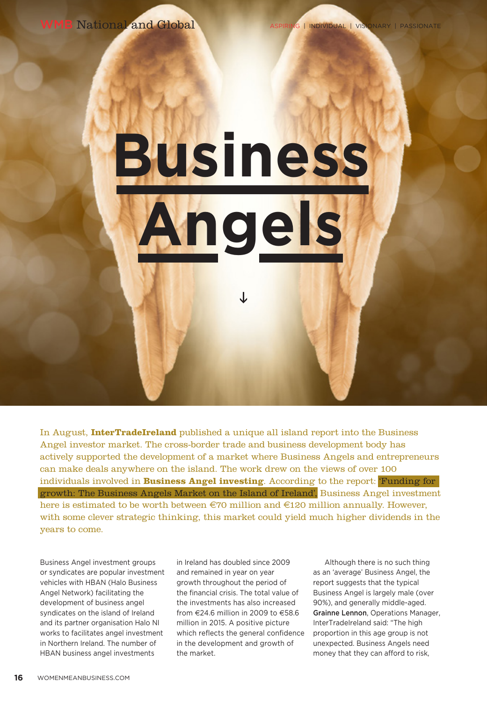WMB National and Global ASPIRING | INDIVIDUAL | VISIONARY | PASSIONATE

## **Business Angels**

In August, **InterTradeIreland** published a unique all island report into the Business Angel investor market. The cross-border trade and business development body has actively supported the development of a market where Business Angels and entrepreneurs can make deals anywhere on the island. The work drew on the views of over 100 individuals involved in **Business Angel investing**. According to the report: 'Funding for growth: The Business Angels Market on the Island of Ireland', Business Angel investment here is estimated to be worth between  $\epsilon$ 70 million and  $\epsilon$ 120 million annually. However, with some clever strategic thinking, this market could yield much higher dividends in the years to come.

Business Angel investment groups or syndicates are popular investment vehicles with HBAN (Halo Business Angel Network) facilitating the development of business angel syndicates on the island of Ireland and its partner organisation Halo NI works to facilitates angel investment in Northern Ireland. The number of HBAN business angel investments

in Ireland has doubled since 2009 and remained in year on year growth throughout the period of the financial crisis. The total value of the investments has also increased from €24.6 million in 2009 to €58.6 million in 2015. A positive picture which reflects the general confidence in the development and growth of the market.

Although there is no such thing as an 'average' Business Angel, the report suggests that the typical Business Angel is largely male (over 90%), and generally middle-aged. Grainne Lennon, Operations Manager, InterTradeIreland said: "The high proportion in this age group is not unexpected. Business Angels need money that they can afford to risk,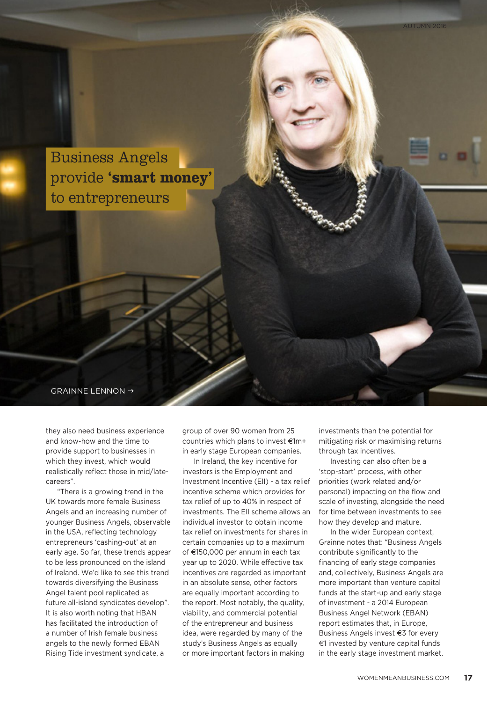

they also need business experience and know-how and the time to provide support to businesses in which they invest, which would realistically reflect those in mid/latecareers".

"There is a growing trend in the UK towards more female Business Angels and an increasing number of younger Business Angels, observable in the USA, reflecting technology entrepreneurs 'cashing-out' at an early age. So far, these trends appear to be less pronounced on the island of Ireland. We'd like to see this trend towards diversifying the Business Angel talent pool replicated as future all-island syndicates develop". It is also worth noting that HBAN has facilitated the introduction of a number of Irish female business angels to the newly formed EBAN Rising Tide investment syndicate, a

group of over 90 women from 25 countries which plans to invest €1m+ in early stage European companies.

In Ireland, the key incentive for investors is the Employment and Investment Incentive (EII) - a tax relief incentive scheme which provides for tax relief of up to 40% in respect of investments. The EII scheme allows an individual investor to obtain income tax relief on investments for shares in certain companies up to a maximum of €150,000 per annum in each tax year up to 2020. While effective tax incentives are regarded as important in an absolute sense, other factors are equally important according to the report. Most notably, the quality, viability, and commercial potential of the entrepreneur and business idea, were regarded by many of the study's Business Angels as equally or more important factors in making

investments than the potential for mitigating risk or maximising returns through tax incentives.

Investing can also often be a 'stop-start' process, with other priorities (work related and/or personal) impacting on the flow and scale of investing, alongside the need for time between investments to see how they develop and mature.

In the wider European context, Grainne notes that: "Business Angels contribute significantly to the financing of early stage companies and, collectively, Business Angels are more important than venture capital funds at the start-up and early stage of investment - a 2014 European Business Angel Network (EBAN) report estimates that, in Europe, Business Angels invest €3 for every €1 invested by venture capital funds in the early stage investment market.